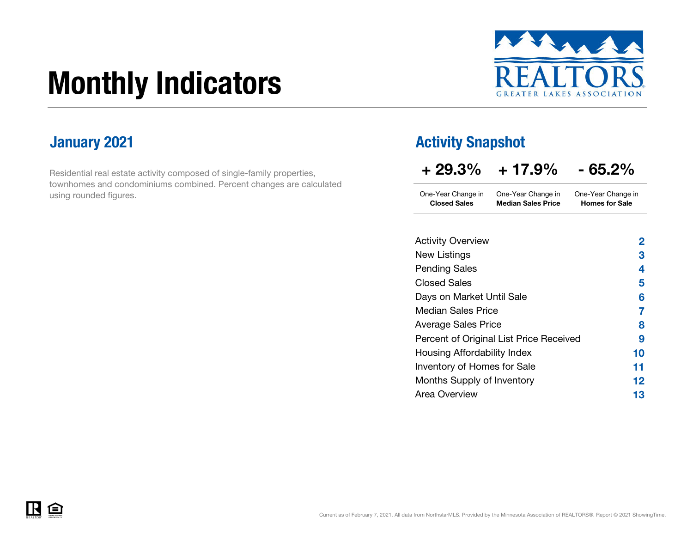# Monthly Indicators



Residential real estate activity composed of single-family properties, townhomes and condominiums combined. Percent changes are calculated using rounded figures.

### **January 2021 Activity Snapshot Activity Snapshot**

...

| $+29.3\%$                                 | $+17.9\%$                                       | $-65.2\%$                                   |  |  |  |
|-------------------------------------------|-------------------------------------------------|---------------------------------------------|--|--|--|
| One-Year Change in<br><b>Closed Sales</b> | One-Year Change in<br><b>Median Sales Price</b> | One-Year Change in<br><b>Homes for Sale</b> |  |  |  |
|                                           |                                                 |                                             |  |  |  |

| <b>Activity Overview</b>                | $\overline{2}$ |
|-----------------------------------------|----------------|
| <b>New Listings</b>                     | 3              |
| <b>Pending Sales</b>                    | 4              |
| <b>Closed Sales</b>                     | 5              |
| Days on Market Until Sale               | 6              |
| <b>Median Sales Price</b>               | 7              |
| <b>Average Sales Price</b>              | 8              |
| Percent of Original List Price Received | 9              |
| Housing Affordability Index             | 10             |
| Inventory of Homes for Sale             | 11             |
| Months Supply of Inventory              | 12             |
| <b>Area Overview</b>                    | 13             |
|                                         |                |

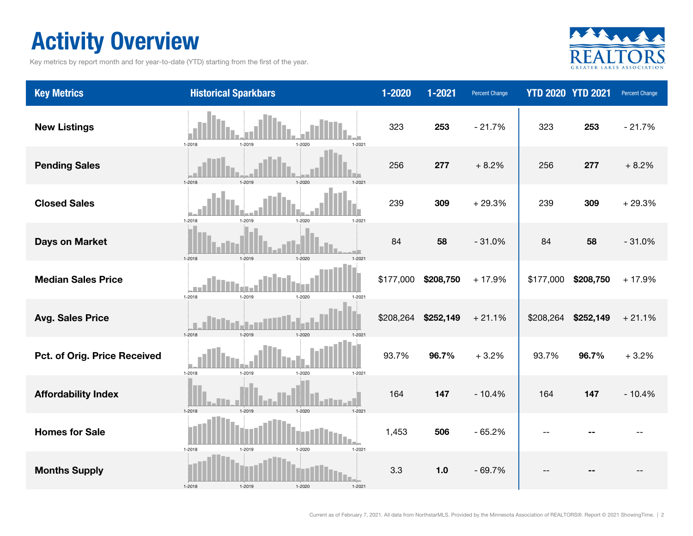### Activity Overview

Key metrics by report month and for year-to-date (YTD) starting from the first of the year.



| <b>Key Metrics</b>           | <b>Historical Sparkbars</b>                      | $1 - 2020$ | 1-2021    | Percent Change |           | <b>YTD 2020 YTD 2021</b> | Percent Change |
|------------------------------|--------------------------------------------------|------------|-----------|----------------|-----------|--------------------------|----------------|
| <b>New Listings</b>          | 1-2018<br>1-2019<br>1-2020<br>$1 - 2021$         | 323        | 253       | $-21.7%$       | 323       | 253                      | $-21.7%$       |
| <b>Pending Sales</b>         | 1-2018<br>$1 - 2020$                             | 256        | 277       | $+8.2%$        | 256       | 277                      | $+8.2%$        |
| <b>Closed Sales</b>          | 1-2018<br>1-2019<br>1-2020<br>$1 - 2021$         | 239        | 309       | $+29.3%$       | 239       | 309                      | $+29.3%$       |
| <b>Days on Market</b>        | 1-2018<br>1-2019<br>$1 - 2020$<br>$1 - 202$      | 84         | 58        | $-31.0%$       | 84        | 58                       | $-31.0%$       |
| <b>Median Sales Price</b>    | $1 - 2018$<br>1-2019<br>1-2020<br>$1 - 2021$     | \$177,000  | \$208,750 | $+17.9%$       | \$177,000 | \$208,750                | $+17.9%$       |
| <b>Avg. Sales Price</b>      | 1-2018<br>1-2019<br>$1 - 2020$<br>$1 - 202$      | \$208,264  | \$252,149 | $+21.1%$       | \$208,264 | \$252,149                | $+21.1%$       |
| Pct. of Orig. Price Received | $1 - 2018$<br>1-2019<br>1-2020<br>$1 - 2021$     | 93.7%      | 96.7%     | $+3.2%$        | 93.7%     | 96.7%                    | $+3.2%$        |
| <b>Affordability Index</b>   | 1-2018<br>$1-2019$<br>$1 - 2020$<br>$1 - 202$    | 164        | 147       | $-10.4%$       | 164       | 147                      | $-10.4%$       |
| <b>Homes for Sale</b>        | 1-2018<br>1-2019<br>1-2020<br>$1 - 2021$         | 1,453      | 506       | $-65.2%$       |           |                          |                |
| <b>Months Supply</b>         | $1 - 2018$<br>1-2019<br>$1 - 2020$<br>$1 - 2021$ | 3.3        | 1.0       | $-69.7%$       |           |                          |                |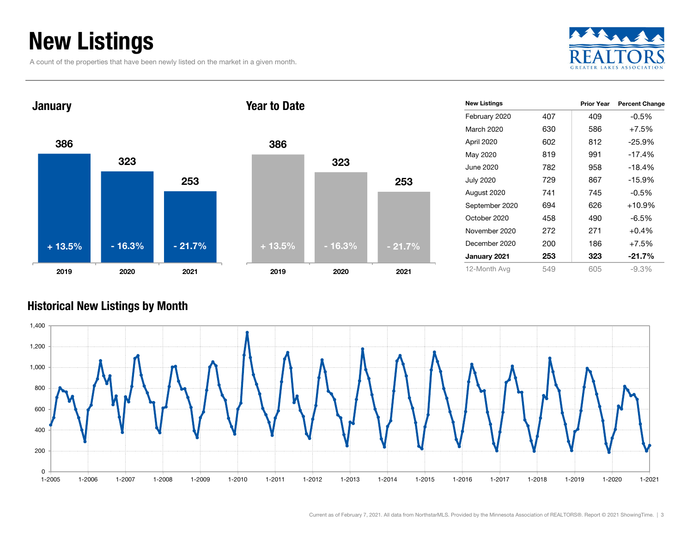### New Listings

A count of the properties that have been newly listed on the market in a given month.





| <b>New Listings</b> |     | <b>Prior Year</b> | <b>Percent Change</b> |
|---------------------|-----|-------------------|-----------------------|
| February 2020       | 407 | 409               | $-0.5%$               |
| March 2020          | 630 | 586               | $+7.5%$               |
| April 2020          | 602 | 812               | $-25.9%$              |
| May 2020            | 819 | 991               | $-17.4%$              |
| June 2020.          | 782 | 958               | $-18.4%$              |
| <b>July 2020</b>    | 729 | 867               | -15.9%                |
| August 2020         | 741 | 745               | $-0.5%$               |
| September 2020      | 694 | 626               | $+10.9%$              |
| October 2020        | 458 | 490               | -6.5%                 |
| November 2020       | 272 | 271               | $+0.4%$               |
| December 2020       | 200 | 186               | $+7.5%$               |
| January 2021        | 253 | 323               | $-21.7%$              |
| 12-Month Avg        | 549 | 605               | $-9.3%$               |

#### Historical New Listings by Month



253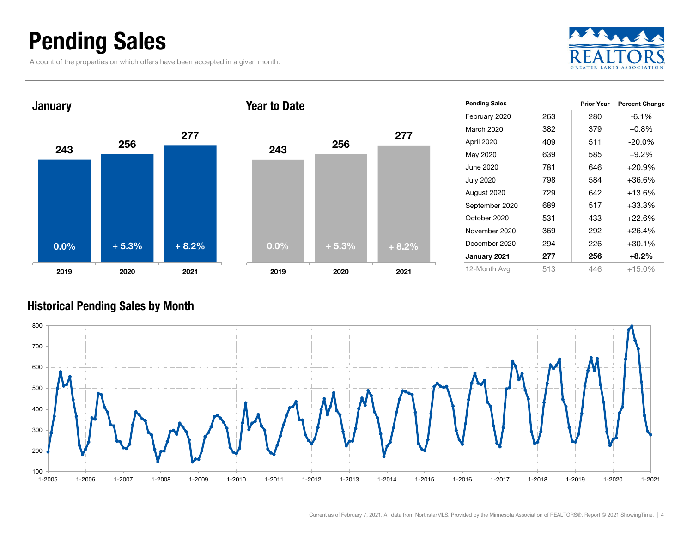### Pending Sales

A count of the properties on which offers have been accepted in a given month.





| <b>Pending Sales</b> |     | <b>Prior Year</b> | <b>Percent Change</b> |
|----------------------|-----|-------------------|-----------------------|
| February 2020        | 263 | 280               | $-6.1\%$              |
| March 2020           | 382 | 379               | $+0.8%$               |
| April 2020           | 409 | 511               | $-20.0\%$             |
| May 2020             | 639 | 585               | $+9.2%$               |
| June 2020.           | 781 | 646               | $+20.9%$              |
| <b>July 2020</b>     | 798 | 584               | +36.6%                |
| August 2020          | 729 | 642               | $+13.6%$              |
| September 2020       | 689 | 517               | $+33.3%$              |
| October 2020         | 531 | 433               | $+22.6%$              |
| November 2020        | 369 | 292               | $+26.4%$              |
| December 2020        | 294 | 226               | $+30.1%$              |
| January 2021         | 277 | 256               | $+8.2\%$              |
| 12-Month Avg         | 513 | 446               | $+15.0%$              |

#### Historical Pending Sales by Month

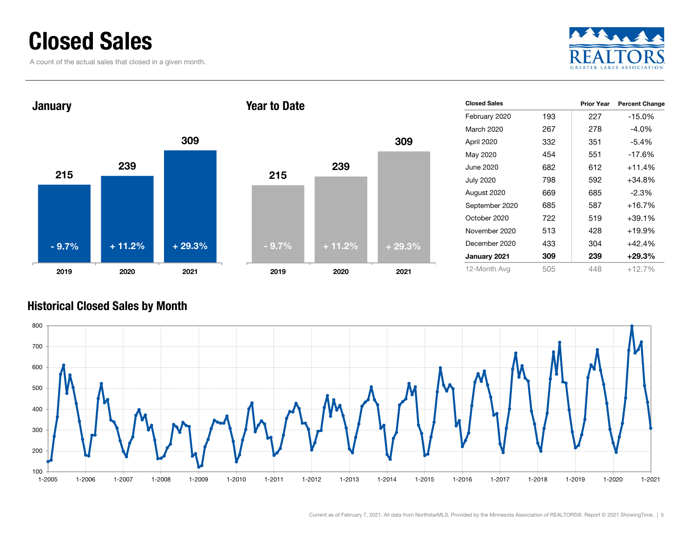### Closed Sales

A count of the actual sales that closed in a given month.





| <b>Closed Sales</b> |     | <b>Prior Year</b> | <b>Percent Change</b> |
|---------------------|-----|-------------------|-----------------------|
| February 2020       | 193 | 227               | $-15.0%$              |
| March 2020          | 267 | 278               | $-4.0%$               |
| April 2020          | 332 | 351               | $-5.4%$               |
| May 2020            | 454 | 551               | $-17.6%$              |
| June 2020.          | 682 | 612               | $+11.4%$              |
| <b>July 2020</b>    | 798 | 592               | $+34.8%$              |
| August 2020         | 669 | 685               | $-2.3\%$              |
| September 2020      | 685 | 587               | $+16.7%$              |
| October 2020        | 722 | 519               | $+39.1%$              |
| November 2020       | 513 | 428               | $+19.9%$              |
| December 2020       | 433 | 304               | $+42.4%$              |
| January 2021        | 309 | 239               | $+29.3\%$             |
| 12-Month Avg        | 505 | 448               | $+12.7%$              |

#### Historical Closed Sales by Month

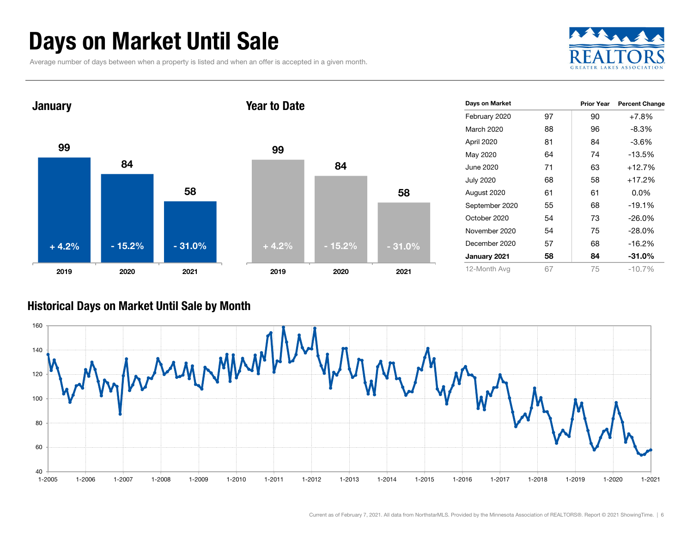### Days on Market Until Sale

Average number of days between when a property is listed and when an offer is accepted in a given month.





#### Historical Days on Market Until Sale by Month

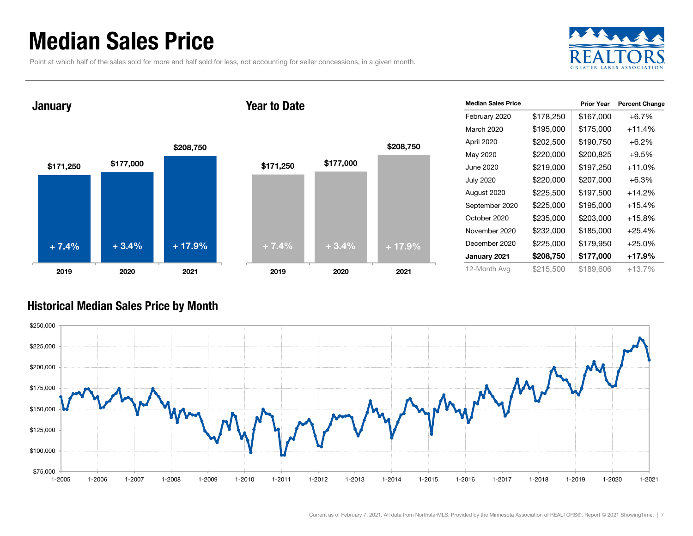### Median Sales Price

Point at which half of the sales sold for more and half sold for less, not accounting for seller concessions, in a given month.



January

#### Year to Date



| <b>Median Sales Price</b> |           | <b>Prior Year</b> | <b>Percent Change</b> |
|---------------------------|-----------|-------------------|-----------------------|
| February 2020             | \$178,250 | \$167,000         | $+6.7%$               |
| March 2020                | \$195,000 | \$175,000         | $+11.4%$              |
| April 2020                | \$202,500 | \$190,750         | $+6.2%$               |
| May 2020                  | \$220,000 | \$200,825         | $+9.5%$               |
| June 2020                 | \$219,000 | \$197,250         | $+11.0%$              |
| <b>July 2020</b>          | \$220,000 | \$207,000         | $+6.3\%$              |
| August 2020               | \$225,500 | \$197,500         | +14.2%                |
| September 2020            | \$225,000 | \$195,000         | $+15.4%$              |
| October 2020              | \$235,000 | \$203,000         | +15.8%                |
| November 2020             | \$232,000 | \$185,000         | $+25.4%$              |
| December 2020             | \$225,000 | \$179,950         | $+25.0\%$             |
| January 2021              | \$208,750 | \$177,000         | +17.9%                |
| 12-Month Avg              | \$215,500 | \$189,606         | $+13.7%$              |

#### Historical Median Sales Price by Month

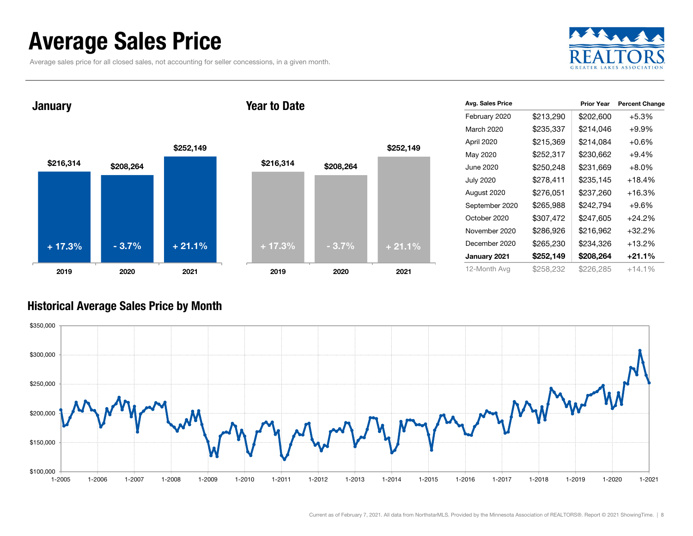### Average Sales Price

Average sales price for all closed sales, not accounting for seller concessions, in a given month.



January

#### Year to Date



| Avg. Sales Price |           | <b>Prior Year</b> | <b>Percent Change</b> |
|------------------|-----------|-------------------|-----------------------|
| February 2020    | \$213,290 | \$202,600         | $+5.3%$               |
| March 2020       | \$235,337 | \$214,046         | $+9.9%$               |
| April 2020       | \$215,369 | \$214,084         | $+0.6\%$              |
| May 2020         | \$252,317 | \$230,662         | $+9.4%$               |
| June 2020        | \$250,248 | \$231,669         | $+8.0%$               |
| <b>July 2020</b> | \$278,411 | \$235,145         | +18.4%                |
| August 2020      | \$276,051 | \$237,260         | $+16.3%$              |
| September 2020   | \$265,988 | \$242,794         | $+9.6%$               |
| October 2020     | \$307,472 | \$247,605         | $+24.2%$              |
| November 2020    | \$286,926 | \$216,962         | $+32.2%$              |
| December 2020    | \$265,230 | \$234,326         | $+13.2%$              |
| January 2021     | \$252,149 | \$208,264         | $+21.1%$              |
| 12-Month Avg     | \$258,232 | \$226,285         | $+14.1%$              |

#### Historical Average Sales Price by Month

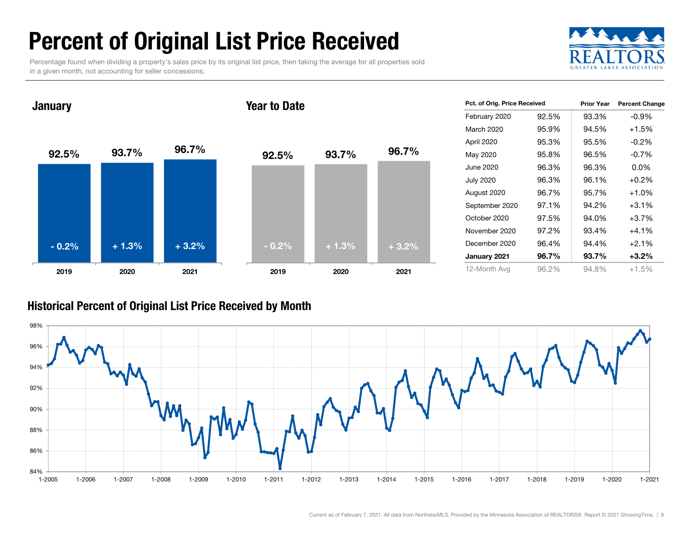### Percent of Original List Price Received

Percentage found when dividing a property's sales price by its original list price, then taking the average for all properties sold in a given month, not accounting for seller concessions.



92.5% 93.7% 96.7% 2019 2020 2021 **January** 92.5% 93.7% 96.7% 2019 2020 2021 Year to Date- 0.2% $\%$  + 1.3% + 3.2% + 3.2% - 0.2% + 1.3% + 3.2%

| Pct. of Orig. Price Received |       | <b>Prior Year</b> | <b>Percent Change</b> |  |
|------------------------------|-------|-------------------|-----------------------|--|
| February 2020                | 92.5% | 93.3%             | $-0.9%$               |  |
| March 2020                   | 95.9% | 94.5%             | $+1.5%$               |  |
| April 2020                   | 95.3% | 95.5%             | $-0.2\%$              |  |
| May 2020                     | 95.8% | 96.5%             | $-0.7%$               |  |
| June 2020                    | 96.3% | 96.3%             | $0.0\%$               |  |
| <b>July 2020</b>             | 96.3% | 96.1%             | $+0.2%$               |  |
| August 2020                  | 96.7% | 95.7%             | $+1.0%$               |  |
| September 2020               | 97.1% | 94.2%             | $+3.1%$               |  |
| October 2020                 | 97.5% | 94.0%             | +3.7%                 |  |
| November 2020                | 97.2% | 93.4%             | $+4.1%$               |  |
| December 2020                | 96.4% | 94.4%             | $+2.1%$               |  |
| January 2021                 | 96.7% | 93.7%             | $+3.2%$               |  |
| 12-Month Avg                 | 96.2% | 94.8%             | $+1.5%$               |  |

#### Historical Percent of Original List Price Received by Month

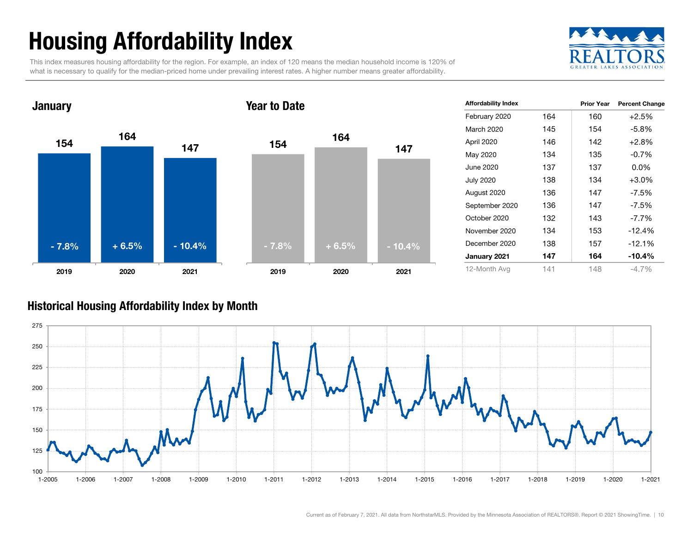## Housing Affordability Index

This index measures housing affordability for the region. For example, an index of 120 means the median household income is 120% of what is necessary to qualify for the median-priced home under prevailing interest rates. A higher number means greater affordability.





| <b>Affordability Index</b> |     | <b>Prior Year</b> | <b>Percent Change</b> |
|----------------------------|-----|-------------------|-----------------------|
| February 2020              | 164 | 160               | $+2.5%$               |
| March 2020                 | 145 | 154               | $-5.8%$               |
| April 2020                 | 146 | 142               | $+2.8%$               |
| May 2020                   | 134 | 135               | $-0.7%$               |
| June 2020                  | 137 | 137               | $0.0\%$               |
| <b>July 2020</b>           | 138 | 134               | $+3.0%$               |
| August 2020                | 136 | 147               | $-7.5%$               |
| September 2020             | 136 | 147               | $-7.5\%$              |
| October 2020               | 132 | 143               | $-7.7\%$              |
| November 2020              | 134 | 153               | $-12.4%$              |
| December 2020              | 138 | 157               | $-12.1%$              |
| January 2021               | 147 | 164               | $-10.4%$              |
| 12-Month Avg               | 141 | 148               | $-4.7\%$              |

#### Historical Housing Affordability Index by Mont h

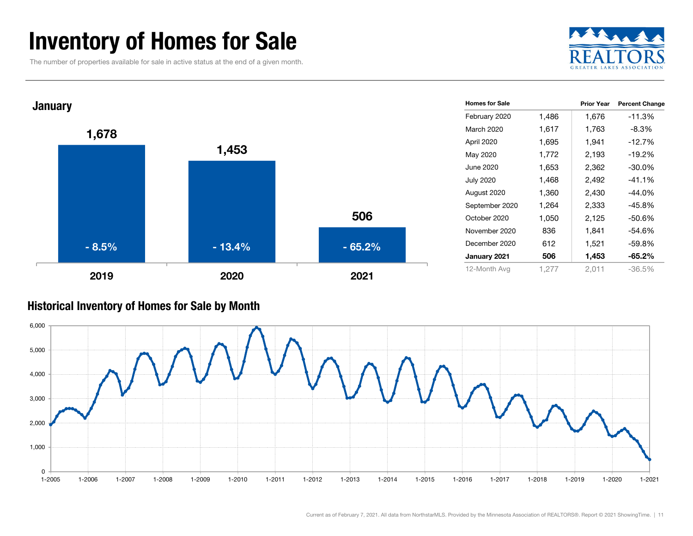### Inventory of Homes for Sale

The number of properties available for sale in active status at the end of a given month.





#### Historical Inventory of Homes for Sale by Month

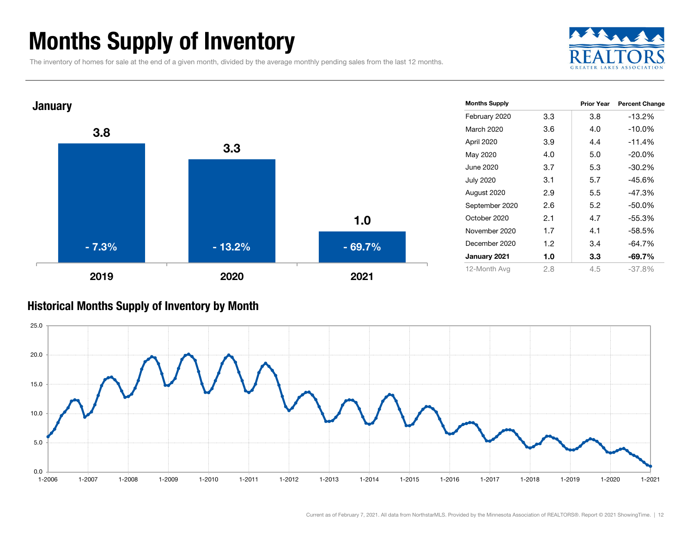### Months Supply of Inventory

The inventory of homes for sale at the end of a given month, divided by the average monthly pending sales from the last 12 months.





#### Historical Months Supply of Inventory by Month